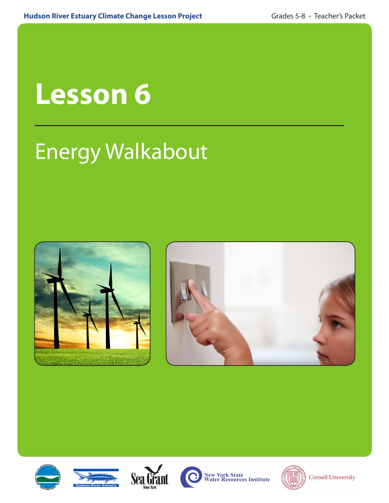# **Lesson 6**

# Energy Walkabout













**New York State<br>Water Resources Institute** 



**Cornell University**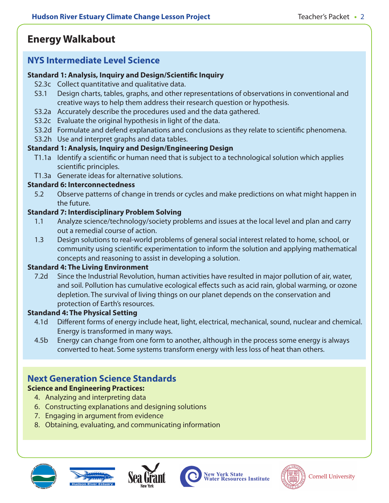# **Energy Walkabout**

### **NYS Intermediate Level Science**

#### **Standard 1: Analysis, Inquiry and Design/Scientific Inquiry**

- S2.3c Collect quantitative and qualitative data.
- S3.1 Design charts, tables, graphs, and other representations of observations in conventional and creative ways to help them address their research question or hypothesis.
- S3.2a Accurately describe the procedures used and the data gathered.
- S3.2c Evaluate the original hypothesis in light of the data.
- S3.2d Formulate and defend explanations and conclusions as they relate to scientific phenomena.
- S3.2h Use and interpret graphs and data tables.

#### **Standard 1: Analysis, Inquiry and Design/Engineering Design**

- T1.1a Identify a scientific or human need that is subject to a technological solution which applies scientific principles.
- T1.3a Generate ideas for alternative solutions.

#### **Standard 6: Interconnectedness**

5.2 Observe patterns of change in trends or cycles and make predictions on what might happen in the future.

#### **Standard 7: Interdisciplinary Problem Solving**

- 1.1 Analyze science/technology/society problems and issues at the local level and plan and carry out a remedial course of action.
- 1.3 Design solutions to real-world problems of general social interest related to home, school, or community using scientific experimentation to inform the solution and applying mathematical concepts and reasoning to assist in developing a solution.

#### **Standard 4: The Living Environment**

7.2d Since the Industrial Revolution, human activities have resulted in major pollution of air, water, and soil. Pollution has cumulative ecological effects such as acid rain, global warming, or ozone depletion. The survival of living things on our planet depends on the conservation and protection of Earth's resources.

#### **Standand 4: The Physical Setting**

- 4.1d Different forms of energy include heat, light, electrical, mechanical, sound, nuclear and chemical. Energy is transformed in many ways.
- 4.5b Energy can change from one form to another, although in the process some energy is always converted to heat. Some systems transform energy with less loss of heat than others.

# **Next Generation Science Standards**

#### **Science and Engineering Practices:**

- 4. Analyzing and interpreting data
- 6. Constructing explanations and designing solutions
- 7. Engaging in argument from evidence
- 8. Obtaining, evaluating, and communicating information









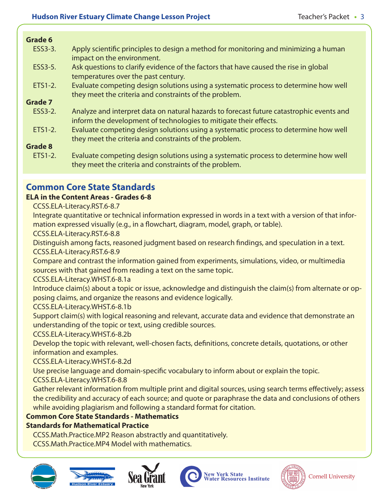#### **Grade 6**

- ESS3-3. Apply scientific principles to design a method for monitoring and minimizing a human impact on the environment.
- ESS3-5. Ask questions to clarify evidence of the factors that have caused the rise in global temperatures over the past century.
- ETS1-2. Evaluate competing design solutions using a systematic process to determine how well they meet the criteria and constraints of the problem.

#### **Grade 7**

- ESS3-2. Analyze and interpret data on natural hazards to forecast future catastrophic events and inform the development of technologies to mitigate their effects.
- ETS1-2. Evaluate competing design solutions using a systematic process to determine how well they meet the criteria and constraints of the problem.

#### **Grade 8**

ETS1-2. Evaluate competing design solutions using a systematic process to determine how well they meet the criteria and constraints of the problem.

# **Common Core State Standards**

#### **ELA in the Content Areas - Grades 6-8**

CCSS.ELA-Literacy.RST.6-8.7

Integrate quantitative or technical information expressed in words in a text with a version of that information expressed visually (e.g., in a flowchart, diagram, model, graph, or table).

CCSS.ELA-Literacy.RST.6-8.8

Distinguish among facts, reasoned judgment based on research findings, and speculation in a text. CCSS.ELA-Literacy.RST.6-8.9

Compare and contrast the information gained from experiments, simulations, video, or multimedia sources with that gained from reading a text on the same topic.

CCSS.ELA-Literacy.WHST.6-8.1a

Introduce claim(s) about a topic or issue, acknowledge and distinguish the claim(s) from alternate or opposing claims, and organize the reasons and evidence logically.

#### CCSS.ELA-Literacy.WHST.6-8.1b

Support claim(s) with logical reasoning and relevant, accurate data and evidence that demonstrate an understanding of the topic or text, using credible sources.

CCSS.ELA-Literacy.WHST.6-8.2b

Develop the topic with relevant, well-chosen facts, definitions, concrete details, quotations, or other information and examples.

CCSS.ELA-Literacy.WHST.6-8.2d

Use precise language and domain-specific vocabulary to inform about or explain the topic.

CCSS.ELA-Literacy.WHST.6-8.8

Gather relevant information from multiple print and digital sources, using search terms effectively; assess the credibility and accuracy of each source; and quote or paraphrase the data and conclusions of others while avoiding plagiarism and following a standard format for citation.

#### **Common Core State Standards - Mathematics**

# **Standards for Mathematical Practice**

CCSS.Math.Practice.MP2 Reason abstractly and quantitatively.

CCSS.Math.Practice.MP4 Model with mathematics.









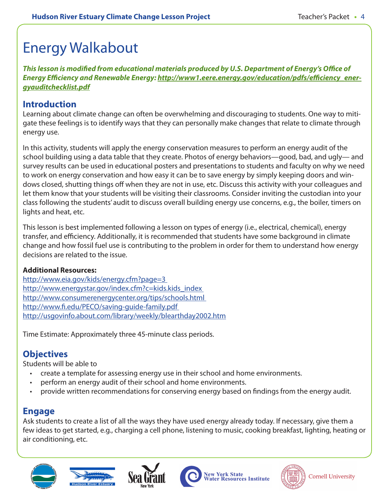# Energy Walkabout

*This lesson is modified from educational materials produced by U.S. Department of Energy's Office of Energy Efficiency and Renewable Energy: http://www1.eere.energy.gov/education/pdfs/efficiency\_energyauditchecklist.pdf*

## **Introduction**

Learning about climate change can often be overwhelming and discouraging to students. One way to mitigate these feelings is to identify ways that they can personally make changes that relate to climate through energy use.

In this activity, students will apply the energy conservation measures to perform an energy audit of the school building using a data table that they create. Photos of energy behaviors—good, bad, and ugly— and survey results can be used in educational posters and presentations to students and faculty on why we need to work on energy conservation and how easy it can be to save energy by simply keeping doors and windows closed, shutting things off when they are not in use, etc. Discuss this activity with your colleagues and let them know that your students will be visiting their classrooms. Consider inviting the custodian into your class following the students' audit to discuss overall building energy use concerns, e.g., the boiler, timers on lights and heat, etc.

This lesson is best implemented following a lesson on types of energy (i.e., electrical, chemical), energy transfer, and efficiency. Additionally, it is recommended that students have some background in climate change and how fossil fuel use is contributing to the problem in order for them to understand how energy decisions are related to the issue.

#### **Additional Resources:**

http://www.eia.gov/kids/energy.cfm?page=3 http://www.energystar.gov/index.cfm?c=kids.kids\_index\_ http://www.consumerenergycenter.org/tips/schools.html http://www.fi.edu/PECO/saving-guide-family.pdf http://usgovinfo.about.com/library/weekly/blearthday2002.htm

Time Estimate: Approximately three 45-minute class periods.

# **Objectives**

Students will be able to

- create a template for assessing energy use in their school and home environments.
- perform an energy audit of their school and home environments.
- provide written recommendations for conserving energy based on findings from the energy audit.

# **Engage**

Ask students to create a list of all the ways they have used energy already today. If necessary, give them a few ideas to get started, e.g., charging a cell phone, listening to music, cooking breakfast, lighting, heating or air conditioning, etc.









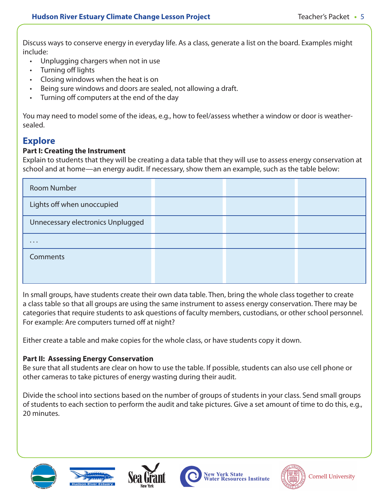Discuss ways to conserve energy in everyday life. As a class, generate a list on the board. Examples might include:

- Unplugging chargers when not in use
- Turning off lights
- Closing windows when the heat is on
- Being sure windows and doors are sealed, not allowing a draft.
- Turning off computers at the end of the day

You may need to model some of the ideas, e.g., how to feel/assess whether a window or door is weathersealed.

# **Explore**

#### **Part I: Creating the Instrument**

Explain to students that they will be creating a data table that they will use to assess energy conservation at school and at home—an energy audit. If necessary, show them an example, such as the table below:

| <b>Room Number</b>                |  |  |
|-----------------------------------|--|--|
| Lights off when unoccupied        |  |  |
| Unnecessary electronics Unplugged |  |  |
| $\cdots$                          |  |  |
| <b>Comments</b>                   |  |  |
|                                   |  |  |

In small groups, have students create their own data table. Then, bring the whole class together to create a class table so that all groups are using the same instrument to assess energy conservation. There may be categories that require students to ask questions of faculty members, custodians, or other school personnel. For example: Are computers turned off at night?

Either create a table and make copies for the whole class, or have students copy it down.

#### **Part II: Assessing Energy Conservation**

Be sure that all students are clear on how to use the table. If possible, students can also use cell phone or other cameras to take pictures of energy wasting during their audit.

Divide the school into sections based on the number of groups of students in your class. Send small groups of students to each section to perform the audit and take pictures. Give a set amount of time to do this, e.g., 20 minutes.









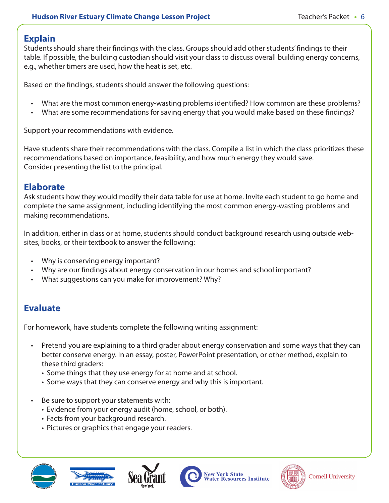# **Explain**

Students should share their findings with the class. Groups should add other students' findings to their table. If possible, the building custodian should visit your class to discuss overall building energy concerns, e.g., whether timers are used, how the heat is set, etc.

Based on the findings, students should answer the following questions:

- What are the most common energy-wasting problems identified? How common are these problems?
- What are some recommendations for saving energy that you would make based on these findings?

Support your recommendations with evidence.

Have students share their recommendations with the class. Compile a list in which the class prioritizes these recommendations based on importance, feasibility, and how much energy they would save. Consider presenting the list to the principal.

### **Elaborate**

Ask students how they would modify their data table for use at home. Invite each student to go home and complete the same assignment, including identifying the most common energy-wasting problems and making recommendations.

In addition, either in class or at home, students should conduct background research using outside websites, books, or their textbook to answer the following:

- Why is conserving energy important?
- Why are our findings about energy conservation in our homes and school important?
- What suggestions can you make for improvement? Why?

# **Evaluate**

For homework, have students complete the following writing assignment:

- Pretend you are explaining to a third grader about energy conservation and some ways that they can better conserve energy. In an essay, poster, PowerPoint presentation, or other method, explain to these third graders:
	- Some things that they use energy for at home and at school.
	- Some ways that they can conserve energy and why this is important.
- Be sure to support your statements with:
	- Evidence from your energy audit (home, school, or both).
	- Facts from your background research.
	- Pictures or graphics that engage your readers.









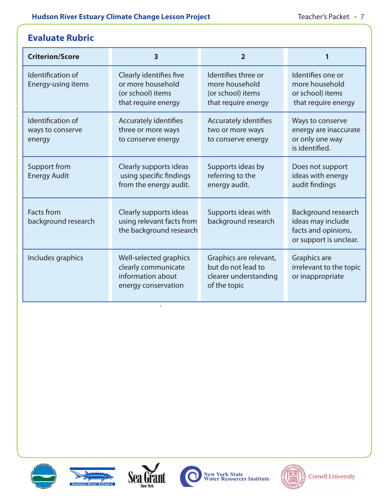# **Evaluate Rubric**

| <b>Criterion/Score</b>                          | $\overline{\mathbf{3}}$                                                                   | 2                                                                                     | 1                                                                                         |
|-------------------------------------------------|-------------------------------------------------------------------------------------------|---------------------------------------------------------------------------------------|-------------------------------------------------------------------------------------------|
| Identification of<br>Energy-using items         | Clearly identifies five<br>or more household<br>(or school) items<br>that require energy  | Identifies three or<br>more household<br>(or school) items<br>that require energy     | Identifies one or<br>more household<br>or school) items<br>that require energy            |
| Identification of<br>ways to conserve<br>energy | Accurately identifies<br>three or more ways<br>to conserve energy                         | Accurately identifies<br>two or more ways<br>to conserve energy                       | Ways to conserve<br>energy are inaccurate<br>or only one way<br>is identified.            |
| Support from<br><b>Energy Audit</b>             | Clearly supports ideas<br>using specific findings<br>from the energy audit.               | Supports ideas by<br>referring to the<br>energy audit.                                | Does not support<br>ideas with energy<br>audit findings                                   |
| <b>Facts from</b><br>background research        | Clearly supports ideas<br>using relevant facts from<br>the background research            | Supports ideas with<br>background research                                            | Background research<br>ideas may include<br>facts and opinions,<br>or support is unclear. |
| Includes graphics                               | Well-selected graphics<br>clearly communicate<br>information about<br>energy conservation | Graphics are relevant,<br>but do not lead to<br>clearer understanding<br>of the topic | Graphics are<br>irrelevant to the topic<br>or inappropriate                               |





.